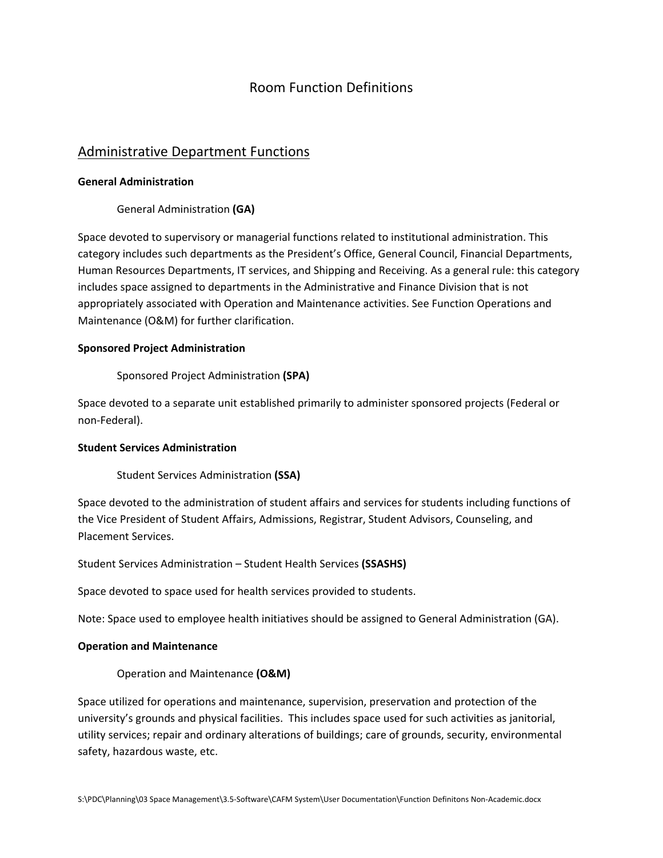# Room Function Definitions

# Administrative Department Functions

## **General Administration**

General Administration **(GA)**

Space devoted to supervisory or managerial functions related to institutional administration. This category includes such departments as the President's Office, General Council, Financial Departments, Human Resources Departments, IT services, and Shipping and Receiving. As a general rule: this category includes space assigned to departments in the Administrative and Finance Division that is not appropriately associated with Operation and Maintenance activities. See Function Operations and Maintenance (O&M) for further clarification.

# **Sponsored Project Administration**

Sponsored Project Administration **(SPA)**

Space devoted to a separate unit established primarily to administer sponsored projects (Federal or non‐Federal).

#### **Student Services Administration**

Student Services Administration **(SSA)**

Space devoted to the administration of student affairs and services for students including functions of the Vice President of Student Affairs, Admissions, Registrar, Student Advisors, Counseling, and Placement Services.

Student Services Administration – Student Health Services **(SSASHS)**

Space devoted to space used for health services provided to students.

Note: Space used to employee health initiatives should be assigned to General Administration (GA).

#### **Operation and Maintenance**

Operation and Maintenance **(O&M)**

Space utilized for operations and maintenance, supervision, preservation and protection of the university's grounds and physical facilities. This includes space used for such activities as janitorial, utility services; repair and ordinary alterations of buildings; care of grounds, security, environmental safety, hazardous waste, etc.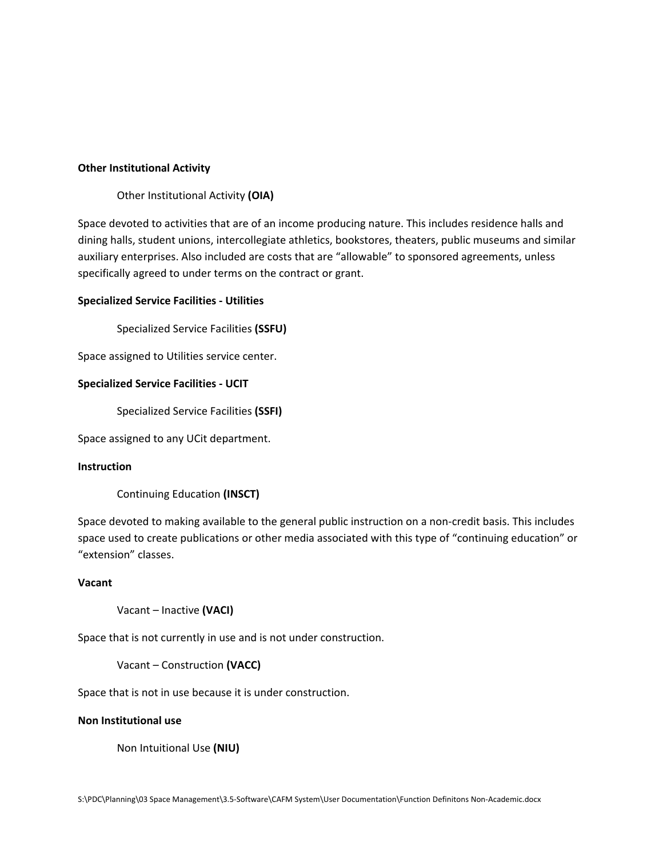#### **Other Institutional Activity**

#### Other Institutional Activity **(OIA)**

Space devoted to activities that are of an income producing nature. This includes residence halls and dining halls, student unions, intercollegiate athletics, bookstores, theaters, public museums and similar auxiliary enterprises. Also included are costs that are "allowable" to sponsored agreements, unless specifically agreed to under terms on the contract or grant.

#### **Specialized Service Facilities ‐ Utilities**

Specialized Service Facilities **(SSFU)**

Space assigned to Utilities service center.

### **Specialized Service Facilities ‐ UCIT**

Specialized Service Facilities **(SSFI)**

Space assigned to any UCit department.

#### **Instruction**

Continuing Education **(INSCT)**

Space devoted to making available to the general public instruction on a non‐credit basis. This includes space used to create publications or other media associated with this type of "continuing education" or "extension" classes.

#### **Vacant**

Vacant – Inactive **(VACI)**

Space that is not currently in use and is not under construction.

Vacant – Construction **(VACC)**

Space that is not in use because it is under construction.

#### **Non Institutional use**

Non Intuitional Use **(NIU)**